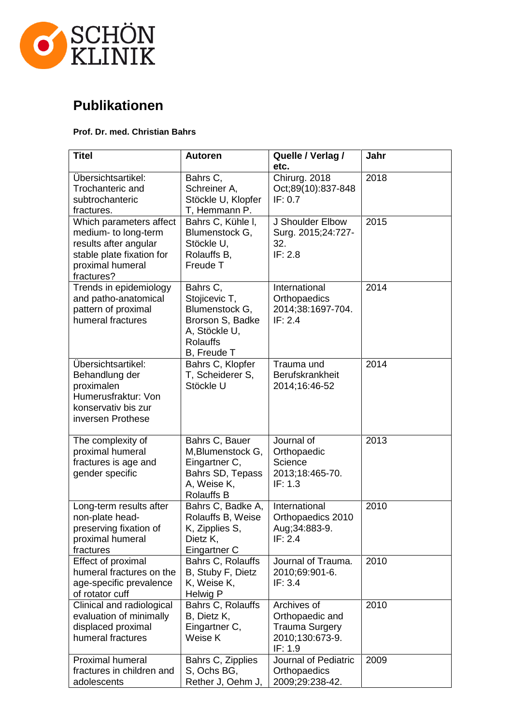

## **Publikationen**

## **Prof. Dr. med. Christian Bahrs**

| <b>Titel</b>                                                                                                                            | <b>Autoren</b>                                                                                                     | Quelle / Verlag /<br>etc.                                                             | Jahr |
|-----------------------------------------------------------------------------------------------------------------------------------------|--------------------------------------------------------------------------------------------------------------------|---------------------------------------------------------------------------------------|------|
| Übersichtsartikel:<br>Trochanteric and<br>subtrochanteric<br>fractures.                                                                 | Bahrs C,<br>Schreiner A,<br>Stöckle U, Klopfer<br>T, Hemmann P.                                                    | Chirurg. 2018<br>Oct;89(10):837-848<br>IF: 0.7                                        | 2018 |
| Which parameters affect<br>medium- to long-term<br>results after angular<br>stable plate fixation for<br>proximal humeral<br>fractures? | Bahrs C, Kühle I,<br>Blumenstock G,<br>Stöckle U.<br>Rolauffs B,<br>Freude T                                       | J Shoulder Elbow<br>Surg. 2015;24:727-<br>32.<br>IF: 2.8                              | 2015 |
| Trends in epidemiology<br>and patho-anatomical<br>pattern of proximal<br>humeral fractures                                              | Bahrs C,<br>Stojicevic T,<br>Blumenstock G,<br>Brorson S, Badke<br>A, Stöckle U,<br><b>Rolauffs</b><br>B, Freude T | International<br>Orthopaedics<br>2014;38:1697-704.<br>IF: 2.4                         | 2014 |
| Übersichtsartikel:<br>Behandlung der<br>proximalen<br>Humerusfraktur: Von<br>konservativ bis zur<br>inversen Prothese                   | Bahrs C, Klopfer<br>T, Scheiderer S,<br>Stöckle U                                                                  | Trauma und<br>Berufskrankheit<br>2014;16:46-52                                        | 2014 |
| The complexity of<br>proximal humeral<br>fractures is age and<br>gender specific                                                        | Bahrs C, Bauer<br>M, Blumenstock G,<br>Eingartner C,<br>Bahrs SD, Tepass<br>A, Weise K,<br><b>Rolauffs B</b>       | Journal of<br>Orthopaedic<br>Science<br>2013;18:465-70.<br>IF: 1.3                    | 2013 |
| Long-term results after<br>non-plate head-<br>preserving fixation of<br>proximal humeral<br>fractures                                   | Bahrs C, Badke A,<br>Rolauffs B, Weise<br>K, Zipplies S,<br>Dietz K,<br>Eingartner C                               | International<br>Orthopaedics 2010<br>Aug; 34: 883-9.<br>IF: 2.4                      | 2010 |
| Effect of proximal<br>humeral fractures on the<br>age-specific prevalence<br>of rotator cuff                                            | Bahrs C, Rolauffs<br>B, Stuby F, Dietz<br>K, Weise K,<br>Helwig P                                                  | Journal of Trauma.<br>2010;69:901-6.<br>IF: 3.4                                       | 2010 |
| Clinical and radiological<br>evaluation of minimally<br>displaced proximal<br>humeral fractures                                         | Bahrs C, Rolauffs<br>B, Dietz K,<br>Eingartner C,<br>Weise K                                                       | Archives of<br>Orthopaedic and<br><b>Trauma Surgery</b><br>2010;130:673-9.<br>IF: 1.9 | 2010 |
| <b>Proximal humeral</b><br>fractures in children and<br>adolescents                                                                     | Bahrs C, Zipplies<br>S, Ochs BG,<br>Rether J, Oehm J,                                                              | Journal of Pediatric<br>Orthopaedics<br>2009;29:238-42.                               | 2009 |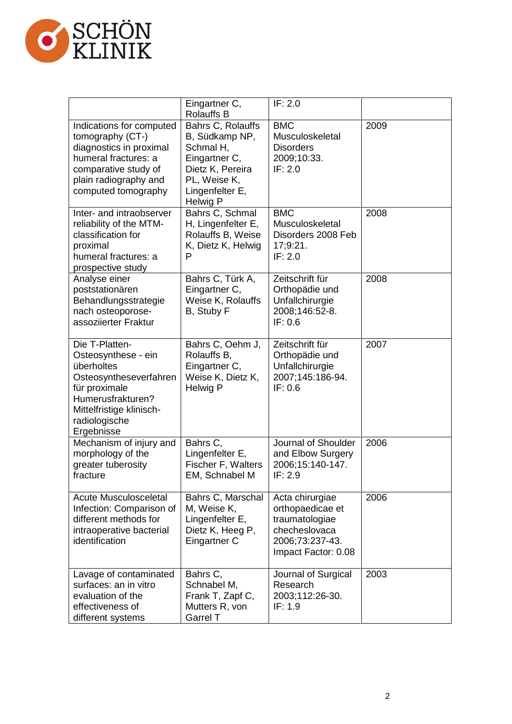

|                                                                                                                                                                                | Eingartner C,<br><b>Rolauffs B</b>                                                                                                   | IF: 2.0                                                                                                          |      |
|--------------------------------------------------------------------------------------------------------------------------------------------------------------------------------|--------------------------------------------------------------------------------------------------------------------------------------|------------------------------------------------------------------------------------------------------------------|------|
| Indications for computed<br>tomography (CT-)<br>diagnostics in proximal<br>humeral fractures: a<br>comparative study of<br>plain radiography and<br>computed tomography        | Bahrs C, Rolauffs<br>B, Südkamp NP,<br>Schmal H.<br>Eingartner C,<br>Dietz K, Pereira<br>PL, Weise K,<br>Lingenfelter E,<br>Helwig P | <b>BMC</b><br>Musculoskeletal<br><b>Disorders</b><br>2009;10:33.<br>IF: 2.0                                      | 2009 |
| Inter- and intraobserver<br>reliability of the MTM-<br>classification for<br>proximal<br>humeral fractures: a<br>prospective study                                             | Bahrs C, Schmal<br>H, Lingenfelter E,<br>Rolauffs B, Weise<br>K, Dietz K, Helwig<br>P                                                | <b>BMC</b><br>Musculoskeletal<br>Disorders 2008 Feb<br>17;9:21.<br>IF: 2.0                                       | 2008 |
| Analyse einer<br>poststationären<br>Behandlungsstrategie<br>nach osteoporose-<br>assoziierter Fraktur                                                                          | Bahrs C, Türk A,<br>Eingartner C,<br>Weise K, Rolauffs<br>B, Stuby F                                                                 | Zeitschrift für<br>Orthopädie und<br>Unfallchirurgie<br>2008;146:52-8.<br>IF: 0.6                                | 2008 |
| Die T-Platten-<br>Osteosynthese - ein<br>überholtes<br>Osteosyntheseverfahren<br>für proximale<br>Humerusfrakturen?<br>Mittelfristige klinisch-<br>radiologische<br>Ergebnisse | Bahrs C, Oehm J,<br>Rolauffs B,<br>Eingartner C,<br>Weise K, Dietz K,<br>Helwig P                                                    | Zeitschrift für<br>Orthopädie und<br>Unfallchirurgie<br>2007;145:186-94.<br>IF: 0.6                              | 2007 |
| Mechanism of injury and<br>morphology of the<br>greater tuberosity<br>fracture                                                                                                 | Bahrs C,<br>Lingenfelter E,<br>Fischer F, Walters<br>EM, Schnabel M                                                                  | Journal of Shoulder<br>and Elbow Surgery<br>2006;15:140-147.<br>IF: 2.9                                          | 2006 |
| <b>Acute Musculosceletal</b><br>Infection: Comparison of<br>different methods for<br>intraoperative bacterial<br>identification                                                | Bahrs C, Marschal<br>M, Weise K,<br>Lingenfelter E,<br>Dietz K, Heeg P,<br>Eingartner C                                              | Acta chirurgiae<br>orthopaedicae et<br>traumatologiae<br>checheslovaca<br>2006;73:237-43.<br>Impact Factor: 0.08 | 2006 |
| Lavage of contaminated<br>surfaces: an in vitro<br>evaluation of the<br>effectiveness of<br>different systems                                                                  | Bahrs C,<br>Schnabel M,<br>Frank T, Zapf C,<br>Mutters R, von<br><b>Garrel T</b>                                                     | Journal of Surgical<br>Research<br>2003;112:26-30.<br>IF: 1.9                                                    | 2003 |